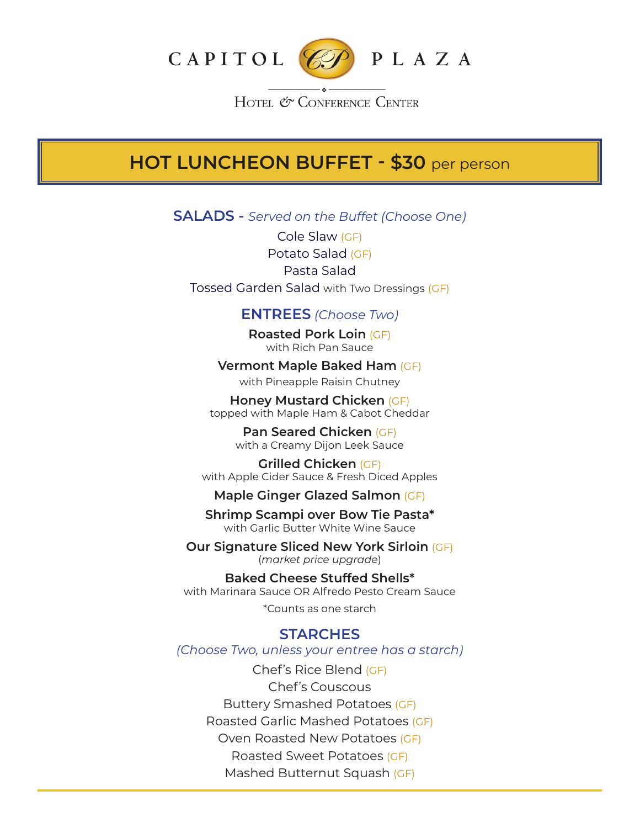

HOTEL & CONFERENCE CENTER

# **HOT LUNCHEON BUFFET - \$30** per person

**SALADS -** *Served on the Buffet (Choose One)*

Cole Slaw (GF) Potato Salad (GF) Pasta Salad Tossed Garden Salad with Two Dressings (GF)

## **ENTREES** *(Choose Two)*

**Roasted Pork Loin** (GF) with Rich Pan Sauce

**Vermont Maple Baked Ham** (GF) with Pineapple Raisin Chutney

**Honey Mustard Chicken** (GF) topped with Maple Ham & Cabot Cheddar

> **Pan Seared Chicken** (GF) with a Creamy Dijon Leek Sauce

**Grilled Chicken** (GF) with Apple Cider Sauce & Fresh Diced Apples

**Maple Ginger Glazed Salmon** (GF)

**Shrimp Scampi over Bow Tie Pasta\*** with Garlic Butter White Wine Sauce

**Our Signature Sliced New York Sirloin** (GF) (*market price upgrade*)

**Baked Cheese Stuffed Shells\*** with Marinara Sauce OR Alfredo Pesto Cream Sauce

\*Counts as one starch

### **STARCHES**

*(Choose Two, unless your entree has a starch)*

Chef's Rice Blend (GF) Chef's Couscous Buttery Smashed Potatoes (GF) Roasted Garlic Mashed Potatoes (GF) Oven Roasted New Potatoes (GF) Roasted Sweet Potatoes (GF) Mashed Butternut Squash (GF)